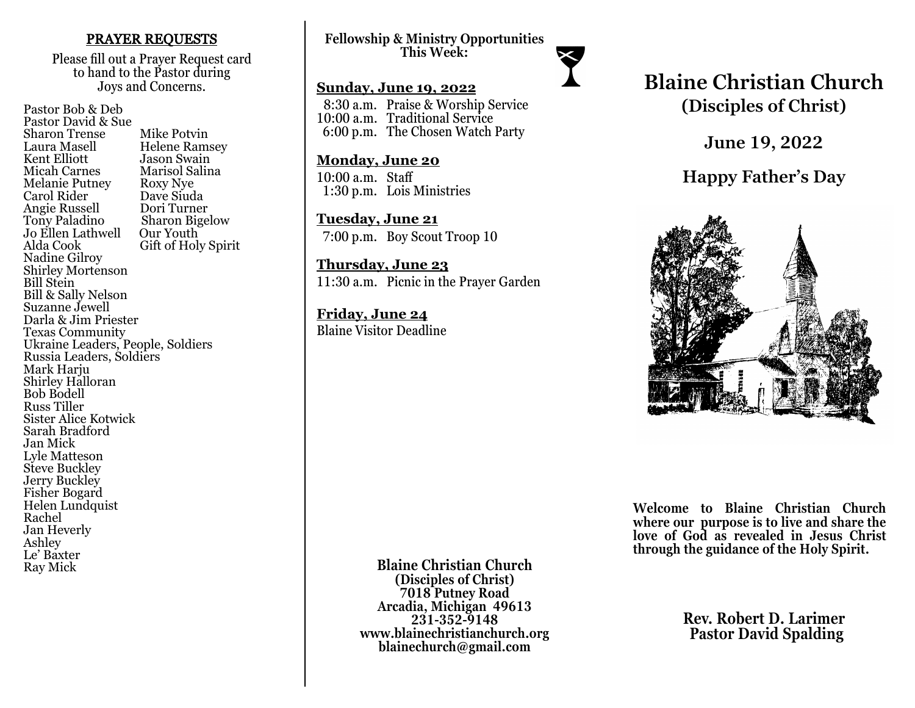## PRAYER REQUESTS

Please fill out a Prayer Request card to hand to the Pastor during Joys and Concerns.

Pastor Bob & Deb Pastor David & Sue Sharon Trense Mike Potvin<br>Laura Masell Helene Ram Laura Masell Helene Ramsey<br>Kent Elliott Hason Swain Kent Elliott Jason Swain<br>
Micah Carnes Marisol Salir Marisol Salina<br>Roxy Nye Melanie Putney Roxy Nye<br>Carol Rider Dave Siuda Carol Rider Dave Siuda Angie Russell<br>Tony Paladino Sharon Bigelow<br>Our Youth Jo Ellen Lathwell<br>Alda Cook Gift of Holy Spirit Nadine Gilroy Shirley Mortenson Bill Stein Bill & Sally Nelson Suzanne Jewell Darla & Jim Priester Texas Community Ukraine Leaders, People, Soldiers Russia Leaders, Soldiers Mark Harju Shirley Halloran Bob Bodell Russ Tiller Sister Alice Kotwick Sarah Bradford Jan Mick Lyle Matteson Steve Buckley Jerry Buckley Fisher Bogard Helen Lundquist Rachel Jan Heverly Ashley Le' Baxter Ray Mick

**Fellowship & Ministry Opportunities This Week:**

## **Sunday, June 19, 2022**

 8:30 a.m. Praise & Worship Service 10:00 a.m. Traditional Service 6:00 p.m. The Chosen Watch Party

#### **Monday, June 20**

10:00 a.m. Staff 1:30 p.m. Lois Ministries

**Tuesday, June 21** 7:00 p.m. Boy Scout Troop 10

**Thursday, June 23** 11:30 a.m. Picnic in the Prayer Garden

**Friday, June 24** Blaine Visitor Deadline

# **Blaine Christian Church (Disciples of Christ)**

**June 19, 2022**

**Happy Father's Day**



**Welcome to Blaine Christian Church where our purpose is to live and share the love of God as revealed in Jesus Christ through the guidance of the Holy Spirit.**

> **Rev. Robert D. Larimer Pastor David Spalding**

**Blaine Christian Church (Disciples of Christ) 7018 Putney Road Arcadia, Michigan 49613 231-352-9148 www.blainechristianchurch.org blainechurch@gmail.com**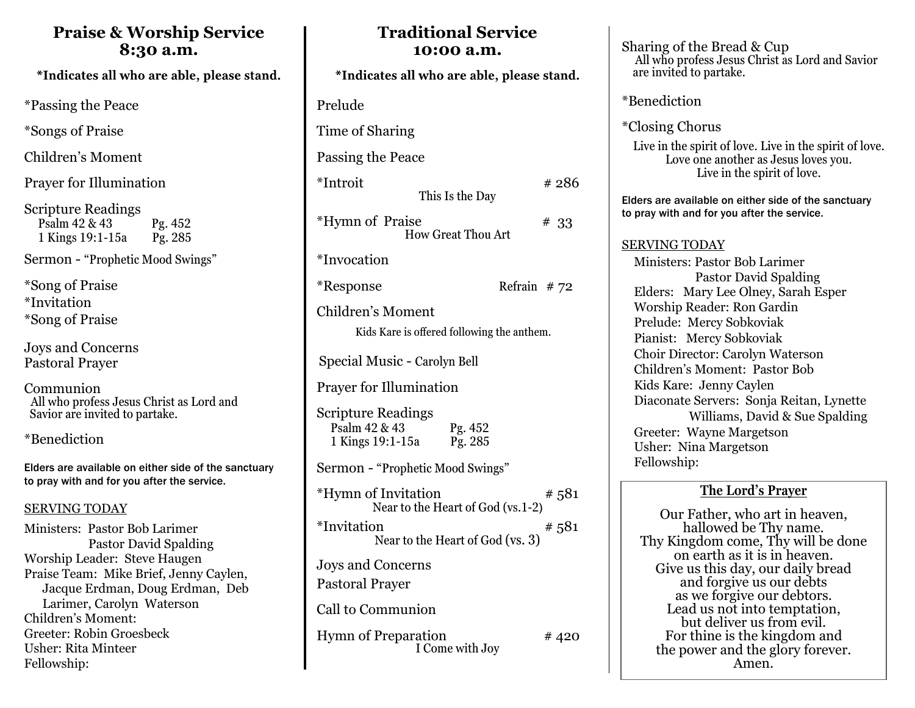## **Praise & Worship Service 8:30 a.m.**

\*Indicates all who are able, please stand.

\*Passing the Peace

\*Songs of Praise

Children's Moment

Prayer for Illumination

Scripture Readings Psalm 42 & 43 Pg. 452<br>1 Kings 19:1-15a Pg. 285 1 Kings 19:1-15a

Sermon - "Prophetic Mood Swings"

\*Song of Praise \*Invitation \*Song of Praise

Joys and Concerns Pastoral Prayer

Communion All who profess Jesus Christ as Lord and Savior are invited to partake.

\*Benediction

Elders are available on either side of the sanctuary to pray with and for you after the service.

## SERVING TODAY

Ministers: Pastor Bob Larimer Pastor David Spalding Worship Leader: Steve Haugen Praise Team: Mike Brief, Jenny Caylen, Jacque Erdman, Doug Erdman, Deb Larimer, Carolyn Waterson Children's Moment: Greeter: Robin Groesbeck Usher: Rita Minteer Fellowship:

| vv um                                                                         |
|-------------------------------------------------------------------------------|
| *Indicates all who are able, please stand.                                    |
| Prelude                                                                       |
| Time of Sharing                                                               |
| Passing the Peace                                                             |
| *Introit<br># 286<br>This Is the Day                                          |
| *Hymn of Praise<br>#33<br><b>How Great Thou Art</b>                           |
| *Invocation                                                                   |
| *Response<br>Refrain $#72$                                                    |
| Children's Moment<br>Kids Kare is offered following the anthem.               |
| Special Music - Carolyn Bell                                                  |
| <b>Prayer for Illumination</b>                                                |
| Scripture Readings<br>Psalm 42 & 43<br>Pg. 452<br>Pg. 285<br>1 Kings 19:1-15a |
| Sermon - "Prophetic Mood Swings"                                              |
| *Hymn of Invitation<br>#581<br>Near to the Heart of God (vs.1-2)              |
| *Invitation<br>#581<br>Near to the Heart of God (vs. 3)                       |
| Joys and Concerns<br><b>Pastoral Prayer</b>                                   |
| Call to Communion                                                             |
| <b>Hymn of Preparation</b><br># 420<br>I Come with Joy                        |

**Traditional Service 10:00 a.m.** 

Sharing of the Bread & Cup All who profess Jesus Christ as Lord and Savior are invited to partake.

\*Benediction

\*Closing Chorus

Live in the spirit of love. Live in the spirit of love. Love one another as Jesus loves you. Live in the spirit of love.

Elders are available on either side of the sanctuary to pray with and for you after the service.

## SERVING TODAY

 Ministers: Pastor Bob Larimer Pastor David Spalding Elders: Mary Lee Olney, Sarah Esper Worship Reader: Ron Gardin Prelude: Mercy Sobkoviak Pianist: Mercy Sobkoviak Choir Director: Carolyn Waterson Children's Moment: Pastor Bob Kids Kare: Jenny Caylen Diaconate Servers: Sonja Reitan, Lynette Williams, David & Sue Spalding Greeter: Wayne Margetson Usher: Nina Margetson Fellowship:

## **The Lord's Prayer**

Our Father, who art in heaven, hallowed be Thy name. Thy Kingdom come, Thy will be done on earth as it is in heaven. Give us this day, our daily bread and forgive us our debts as we forgive our debtors. Lead us not into temptation, but deliver us from evil. For thine is the kingdom and the power and the glory forever. Amen.